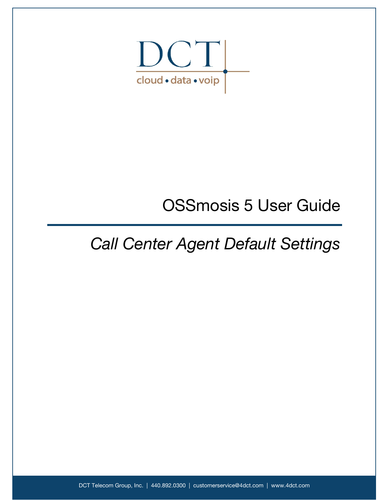

## OSSmosis 5 User Guide

## *Call Center Agent Default Settings*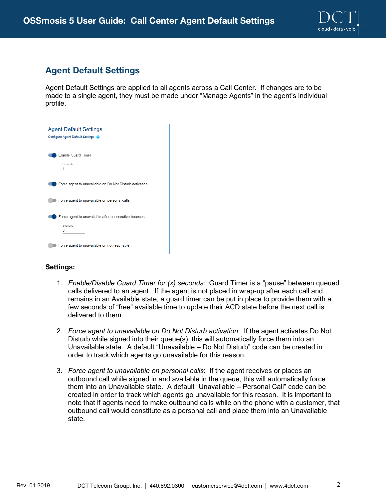

## **Agent Default Settings**

Agent Default Settings are applied to all agents across a Call Center. If changes are to be made to a single agent, they must be made under "Manage Agents" in the agent's individual profile.

| <b>Agent Default Settings</b>                           |
|---------------------------------------------------------|
| Configure Agent Default Settings @                      |
|                                                         |
| <b>Enable Guard Timer</b>                               |
| Seconds                                                 |
|                                                         |
|                                                         |
| Force agent to unavailable on Do Not Disturb activation |
|                                                         |
| Force agent to unavailable on personal calls            |
|                                                         |
| Force agent to unavailable after consecutive bounces    |
| <b>Bounces</b>                                          |
| 3                                                       |
|                                                         |
| Force agent to unavailable on not reachable             |
|                                                         |

## **Settings:**

- 1. *Enable/Disable Guard Timer for (x) seconds*: Guard Timer is a "pause" between queued calls delivered to an agent. If the agent is not placed in wrap-up after each call and remains in an Available state, a guard timer can be put in place to provide them with a few seconds of "free" available time to update their ACD state before the next call is delivered to them.
- 2. *Force agent to unavailable on Do Not Disturb activation*: If the agent activates Do Not Disturb while signed into their queue(s), this will automatically force them into an Unavailable state. A default "Unavailable – Do Not Disturb" code can be created in order to track which agents go unavailable for this reason.
- 3. *Force agent to unavailable on personal calls*: If the agent receives or places an outbound call while signed in and available in the queue, this will automatically force them into an Unavailable state. A default "Unavailable – Personal Call" code can be created in order to track which agents go unavailable for this reason. It is important to note that if agents need to make outbound calls while on the phone with a customer, that outbound call would constitute as a personal call and place them into an Unavailable state.